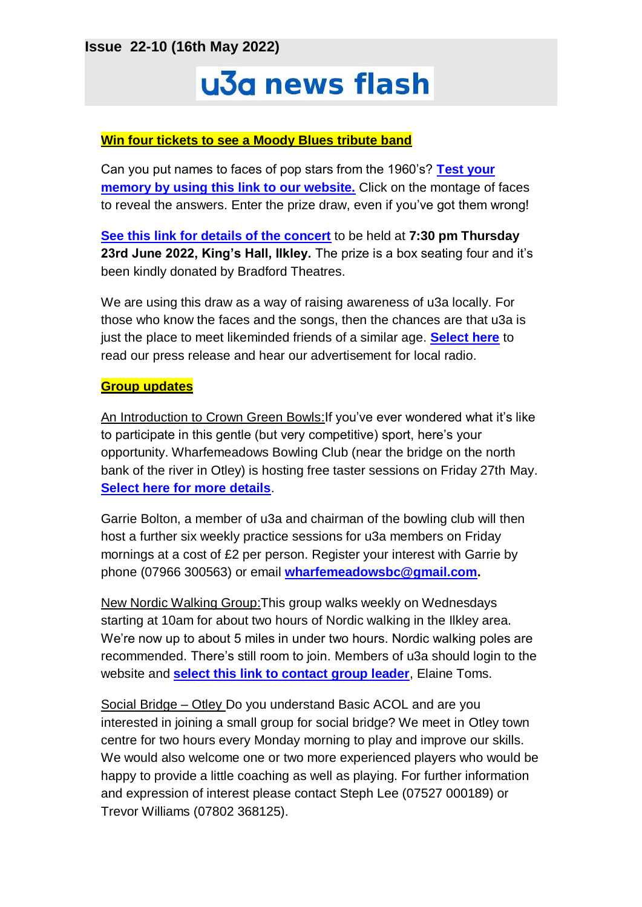**Issue 22-10 (16th May 2022)**

# u3a news flash

## **Win four tickets to see a Moody Blues tribute band**

Can you put names to faces of pop stars from the 1960's? **[Test your](http://ilkleyu3a.org/#HQUIZ)  [memory by using this link to our website.](http://ilkleyu3a.org/#HQUIZ)** Click on the montage of faces to reveal the answers. Enter the prize draw, even if you've got them wrong!

**[See this link for details of the concert](https://www.bradford-theatres.co.uk/whats-on/go-now-the-music-of-the-moody-blues)** to be held at **7:30 pm Thursday 23rd June 2022, King's Hall, Ilkley.** The prize is a box seating four and it's been kindly donated by Bradford Theatres.

We are using this draw as a way of raising awareness of u3a locally. For those who know the faces and the songs, then the chances are that u3a is just the place to meet likeminded friends of a similar age. **[Select here](https://ilkleyu3a.org/Press-and-Media)** to read our press release and hear our advertisement for local radio.

### **Group updates**

An Introduction to Crown Green Bowls:If you've ever wondered what it's like to participate in this gentle (but very competitive) sport, here's your opportunity. Wharfemeadows Bowling Club (near the bridge on the north bank of the river in Otley) is hosting free taster sessions on Friday 27th May. **[Select here for more details](https://www.bowlsbigweekend.com/)**.

Garrie Bolton, a member of u3a and chairman of the bowling club will then host a further six weekly practice sessions for u3a members on Friday mornings at a cost of £2 per person. Register your interest with Garrie by phone (07966 300563) or email **[wharfemeadowsbc@gmail.com.](mailto:wharfemeadowsbc@gmail.com)**

New Nordic Walking Group:This group walks weekly on Wednesdays starting at 10am for about two hours of Nordic walking in the Ilkley area. We're now up to about 5 miles in under two hours. Nordic walking poles are recommended. There's still room to join. Members of u3a should login to the website and **[select this link to contact group leader](https://ilkleyu3a.org/Sys/PublicProfile/60492383/1288371)**, Elaine Toms.

Social Bridge – Otley Do you understand Basic ACOL and are you interested in joining a small group for social bridge? We meet in Otley town centre for two hours every Monday morning to play and improve our skills. We would also welcome one or two more experienced players who would be happy to provide a little coaching as well as playing. For further information and expression of interest please contact Steph Lee (07527 000189) or Trevor Williams (07802 368125).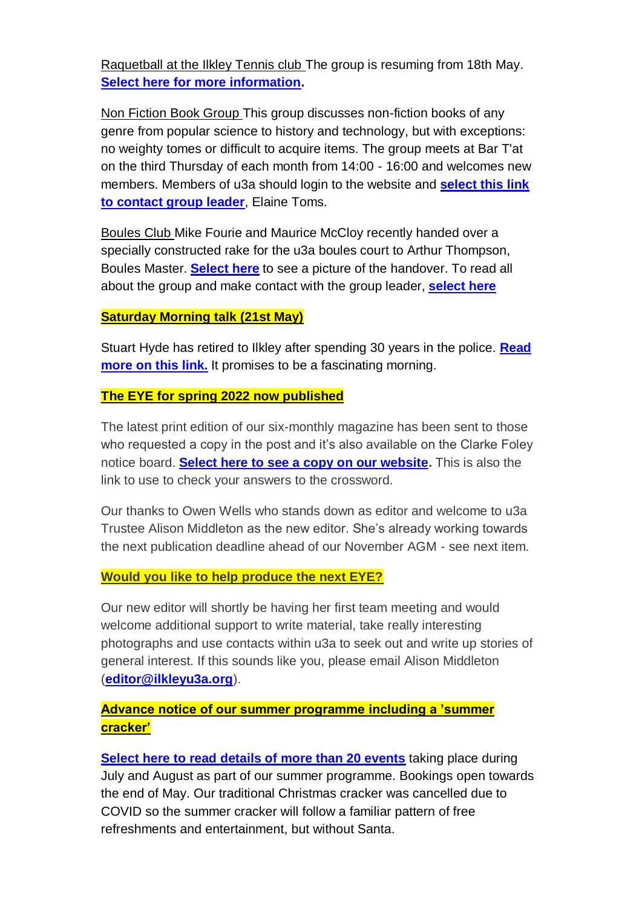Raquetball at the Ilkley Tennis club The group is resuming from 18th May. **[Select here for more information.](https://ilkleyu3a.org/Racketball-group)**

Non Fiction Book Group This group discusses non-fiction books of any genre from popular science to history and technology, but with exceptions: no weighty tomes or difficult to acquire items. The group meets at Bar T'at on the third Thursday of each month from 14:00 - 16:00 and welcomes new members. Members of u3a should login to the website and **[select this link](https://ilkleyu3a.org/Sys/PublicProfile/60492383/1288371)  [to contact group leader](https://ilkleyu3a.org/Sys/PublicProfile/60492383/1288371)**, Elaine Toms.

Boules Club Mike Fourie and Maurice McCloy recently handed over a specially constructed rake for the u3a boules court to Arthur Thompson, Boules Master. **[Select here](https://ilkleyu3a.org/Boules-Group-News)** to see a picture of the handover. To read all about the group and make contact with the group leader, **[select here](https://ilkleyu3a.org/Boules-group)**

## **Saturday Morning talk (21st May)**

Stuart Hyde has retired to Ilkley after spending 30 years in the police. **[Read](https://ilkleyu3a.org/event-4813773)  [more on this link.](https://ilkleyu3a.org/event-4813773)** It promises to be a fascinating morning.

### **The EYE for spring 2022 now published**

The latest print edition of our six-monthly magazine has been sent to those who requested a copy in the post and it's also available on the Clarke Foley notice board. **[Select here to see a copy on our website.](https://ilkleyu3a.org/EYE-2)** This is also the link to use to check your answers to the crossword.

Our thanks to Owen Wells who stands down as editor and welcome to u3a Trustee Alison Middleton as the new editor. She's already working towards the next publication deadline ahead of our November AGM - see next item.

### **Would you like to help produce the next EYE?**

Our new editor will shortly be having her first team meeting and would welcome additional support to write material, take really interesting photographs and use contacts within u3a to seek out and write up stories of general interest. If this sounds like you, please email Alison Middleton (**[editor@ilkleyu3a.org](mailto:editor@ilkleyu3a.org)**).

## **Advance notice of our summer programme including a 'summer cracker'**

**[Select here to read details of more than 20 events](https://ilkleyu3a.org/resources/Documents/PDF-Flip/index-summer-2022.html)** taking place during July and August as part of our summer programme. Bookings open towards the end of May. Our traditional Christmas cracker was cancelled due to COVID so the summer cracker will follow a familiar pattern of free refreshments and entertainment, but without Santa.